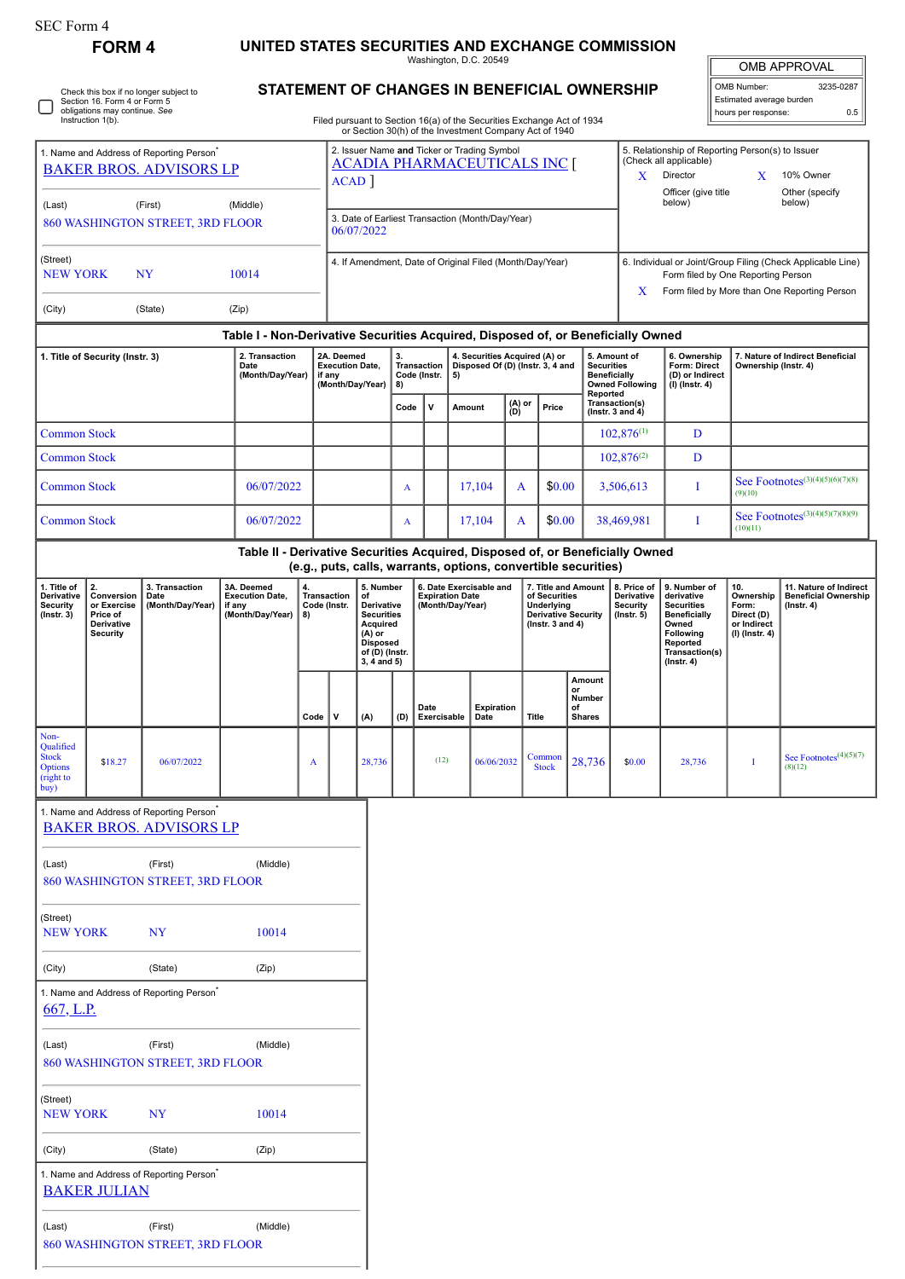## **FORM 4 UNITED STATES SECURITIES AND EXCHANGE COMMISSION**

Washington, D.C. 20549 **STATEMENT OF CHANGES IN BENEFICIAL OWNERSHIP**

OMB APPROVAL OMB Number: 3235-0287 Estimated average burden

|                                                                                        | Section 16. Form 4 or Form 5<br>obligations may continue. See<br>Instruction 1(b). | Check this box if no longer subject to               |                                                                                                    |            |                                                                |                                                                                                                                                      |                                                       |                                            |    | Filed pursuant to Section 16(a) of the Securities Exchange Act of 1934 |   |                                                                                                          |          |                                                                                                                                                        | STATEMENT OF CHANGES IN BENEFICIAL OWNERSHIP                                                                                                                               |                                                                          | Estimated average burden<br>hours per response:                           | 0.5                                                        |  |
|----------------------------------------------------------------------------------------|------------------------------------------------------------------------------------|------------------------------------------------------|----------------------------------------------------------------------------------------------------|------------|----------------------------------------------------------------|------------------------------------------------------------------------------------------------------------------------------------------------------|-------------------------------------------------------|--------------------------------------------|----|------------------------------------------------------------------------|---|----------------------------------------------------------------------------------------------------------|----------|--------------------------------------------------------------------------------------------------------------------------------------------------------|----------------------------------------------------------------------------------------------------------------------------------------------------------------------------|--------------------------------------------------------------------------|---------------------------------------------------------------------------|------------------------------------------------------------|--|
| 1. Name and Address of Reporting Person <sup>®</sup><br><b>BAKER BROS. ADVISORS LP</b> |                                                                                    |                                                      |                                                                                                    |            |                                                                | or Section 30(h) of the Investment Company Act of 1940<br>2. Issuer Name and Ticker or Trading Symbol<br><b>ACADIA PHARMACEUTICALS INC [</b><br>ACAD |                                                       |                                            |    |                                                                        |   |                                                                                                          |          |                                                                                                                                                        | 5. Relationship of Reporting Person(s) to Issuer<br>(Check all applicable)<br>Director<br>X<br>X<br>10% Owner<br>Officer (give title<br>Other (specify<br>below)<br>below) |                                                                          |                                                                           |                                                            |  |
| (First)<br>(Middle)<br>(Last)<br>860 WASHINGTON STREET, 3RD FLOOR                      |                                                                                    |                                                      |                                                                                                    |            | 3. Date of Earliest Transaction (Month/Day/Year)<br>06/07/2022 |                                                                                                                                                      |                                                       |                                            |    |                                                                        |   |                                                                                                          |          |                                                                                                                                                        |                                                                                                                                                                            |                                                                          |                                                                           |                                                            |  |
| (Street)<br><b>NEW YORK</b><br><b>NY</b><br>10014                                      |                                                                                    |                                                      |                                                                                                    |            | 4. If Amendment, Date of Original Filed (Month/Day/Year)       |                                                                                                                                                      |                                                       |                                            |    |                                                                        |   |                                                                                                          |          | 6. Individual or Joint/Group Filing (Check Applicable Line)<br>Form filed by One Reporting Person<br>Form filed by More than One Reporting Person<br>X |                                                                                                                                                                            |                                                                          |                                                                           |                                                            |  |
| (City)                                                                                 |                                                                                    | (State)                                              | (Zip)                                                                                              |            |                                                                |                                                                                                                                                      |                                                       |                                            |    |                                                                        |   |                                                                                                          |          |                                                                                                                                                        |                                                                                                                                                                            |                                                                          |                                                                           |                                                            |  |
|                                                                                        |                                                                                    |                                                      | Table I - Non-Derivative Securities Acquired, Disposed of, or Beneficially Owned<br>2. Transaction |            | 2A. Deemed                                                     |                                                                                                                                                      | 3.                                                    |                                            |    | 4. Securities Acquired (A) or                                          |   |                                                                                                          |          | 5. Amount of                                                                                                                                           |                                                                                                                                                                            | 6. Ownership                                                             |                                                                           | 7. Nature of Indirect Beneficial                           |  |
| 1. Title of Security (Instr. 3)                                                        |                                                                                    |                                                      | Date<br>(Month/Day/Year)                                                                           |            | <b>Execution Date,</b><br>if any<br>(Month/Day/Year)           |                                                                                                                                                      | <b>Transaction</b><br>Code (Instr.<br>8)<br>٧<br>Code |                                            | 5) | Amount                                                                 |   | Disposed Of (D) (Instr. 3, 4 and<br>(A) or<br>Price<br>(D)                                               |          | <b>Securities</b><br><b>Beneficially</b><br><b>Owned Following</b><br>Reported<br>Transaction(s)                                                       |                                                                                                                                                                            | Form: Direct<br>(D) or Indirect<br>(I) (Instr. 4)                        |                                                                           | Ownership (Instr. 4)                                       |  |
|                                                                                        | <b>Common Stock</b>                                                                |                                                      |                                                                                                    |            |                                                                |                                                                                                                                                      |                                                       |                                            |    |                                                                        |   |                                                                                                          |          | ( $lnstr. 3 and 4$ )                                                                                                                                   | $102.876^{(1)}$                                                                                                                                                            | D                                                                        |                                                                           |                                                            |  |
| <b>Common Stock</b>                                                                    |                                                                                    |                                                      |                                                                                                    |            |                                                                |                                                                                                                                                      |                                                       |                                            |    |                                                                        |   |                                                                                                          |          |                                                                                                                                                        | $102,876^{(2)}$                                                                                                                                                            | D                                                                        |                                                                           |                                                            |  |
| <b>Common Stock</b>                                                                    |                                                                                    |                                                      |                                                                                                    | 06/07/2022 |                                                                |                                                                                                                                                      | $\mathbf{A}$                                          |                                            |    | 17,104                                                                 | A |                                                                                                          | \$0.00   |                                                                                                                                                        | 3,506,613                                                                                                                                                                  | Т                                                                        | (9)(10)                                                                   | See Footnotes(3)(4)(5)(6)(7)(8)                            |  |
| <b>Common Stock</b>                                                                    |                                                                                    |                                                      |                                                                                                    | 06/07/2022 |                                                                |                                                                                                                                                      | $\mathbf{A}$                                          |                                            |    | 17,104                                                                 |   | \$0.00<br>A                                                                                              |          | 38,469,981                                                                                                                                             |                                                                                                                                                                            | I                                                                        | (10)(11)                                                                  | See Footnotes <sup>(3)(4)(5)(7)(8)(9)</sup>                |  |
|                                                                                        |                                                                                    |                                                      | Table II - Derivative Securities Acquired, Disposed of, or Beneficially Owned                      |            |                                                                |                                                                                                                                                      |                                                       |                                            |    | (e.g., puts, calls, warrants, options, convertible securities)         |   |                                                                                                          |          |                                                                                                                                                        |                                                                                                                                                                            |                                                                          |                                                                           |                                                            |  |
| 1. Title of<br>Derivative<br>Security<br>$($ Instr. 3 $)$                              | 2.<br>Conversion<br>or Exercise<br>Price of<br>Derivative<br><b>Security</b>       | 3. Transaction<br>Date<br>(Month/Day/Year)           | 3A. Deemed<br><b>Execution Date,</b><br>if any<br>(Month/Day/Year)                                 | 4.<br>8)   | Transaction<br>Code (Instr.                                    | 5. Number<br>of<br>Derivative<br><b>Securities</b><br>Acquired<br>$(A)$ or<br><b>Disposed</b><br>of (D) (Instr.<br>$3, 4$ and $5)$                   |                                                       | <b>Expiration Date</b><br>(Month/Day/Year) |    | 6. Date Exercisable and                                                |   | 7. Title and Amount<br>of Securities<br>Underlying<br><b>Derivative Security</b><br>( $lnstr. 3 and 4$ ) |          | 8. Price of<br>Derivative<br>Security<br>$($ lnstr. 5 $)$                                                                                              | 9. Number of<br>derivative<br><b>Securities</b><br><b>Beneficially</b><br>Owned<br>Following<br>Reported<br>Transaction(s)<br>$($ Instr. 4 $)$                             | 10.<br>Ownership<br>Form:<br>Direct (D)<br>or Indirect<br>(I) (Instr. 4) | 11. Nature of Indirect<br><b>Beneficial Ownership</b><br>$($ Instr. 4 $)$ |                                                            |  |
|                                                                                        |                                                                                    |                                                      |                                                                                                    | Code       | V                                                              | (A)                                                                                                                                                  | (D)                                                   | Date<br>Exercisable                        |    | <b>Expiration</b><br>Date                                              |   | <b>Title</b>                                                                                             | or<br>of | Amount<br>Number<br><b>Shares</b>                                                                                                                      |                                                                                                                                                                            |                                                                          |                                                                           |                                                            |  |
| Non-<br>Oualified<br><b>Stock</b><br><b>Options</b><br>(right to<br>buy)               | \$18.27                                                                            | 06/07/2022                                           |                                                                                                    | A          |                                                                | 28,736                                                                                                                                               |                                                       | (12)                                       |    | 06/06/2032                                                             |   | Common<br><b>Stock</b>                                                                                   |          | 28,736                                                                                                                                                 | \$0.00                                                                                                                                                                     | 28,736                                                                   | I                                                                         | See Footnotes <sup><math>(4)(5)(7)</math></sup><br>(8)(12) |  |
|                                                                                        |                                                                                    | 1. Name and Address of Reporting Person <sup>®</sup> |                                                                                                    |            |                                                                |                                                                                                                                                      |                                                       |                                            |    |                                                                        |   |                                                                                                          |          |                                                                                                                                                        |                                                                                                                                                                            |                                                                          |                                                                           |                                                            |  |
|                                                                                        |                                                                                    | <b>BAKER BROS. ADVISORS LP</b>                       |                                                                                                    |            |                                                                |                                                                                                                                                      |                                                       |                                            |    |                                                                        |   |                                                                                                          |          |                                                                                                                                                        |                                                                                                                                                                            |                                                                          |                                                                           |                                                            |  |
| (Last)                                                                                 |                                                                                    | (First)<br>860 WASHINGTON STREET, 3RD FLOOR          | (Middle)                                                                                           |            |                                                                |                                                                                                                                                      |                                                       |                                            |    |                                                                        |   |                                                                                                          |          |                                                                                                                                                        |                                                                                                                                                                            |                                                                          |                                                                           |                                                            |  |
| (Street)<br><b>NEW YORK</b><br>NY                                                      |                                                                                    | 10014                                                |                                                                                                    |            |                                                                |                                                                                                                                                      |                                                       |                                            |    |                                                                        |   |                                                                                                          |          |                                                                                                                                                        |                                                                                                                                                                            |                                                                          |                                                                           |                                                            |  |
| (City)                                                                                 |                                                                                    | (State)                                              | (Zip)                                                                                              |            |                                                                |                                                                                                                                                      |                                                       |                                            |    |                                                                        |   |                                                                                                          |          |                                                                                                                                                        |                                                                                                                                                                            |                                                                          |                                                                           |                                                            |  |
| 667, L.P.                                                                              |                                                                                    | 1. Name and Address of Reporting Person <sup>®</sup> |                                                                                                    |            |                                                                |                                                                                                                                                      |                                                       |                                            |    |                                                                        |   |                                                                                                          |          |                                                                                                                                                        |                                                                                                                                                                            |                                                                          |                                                                           |                                                            |  |
| (Last)                                                                                 |                                                                                    | (First)<br>860 WASHINGTON STREET, 3RD FLOOR          | (Middle)                                                                                           |            |                                                                |                                                                                                                                                      |                                                       |                                            |    |                                                                        |   |                                                                                                          |          |                                                                                                                                                        |                                                                                                                                                                            |                                                                          |                                                                           |                                                            |  |
| (Street)<br><b>NEW YORK</b>                                                            |                                                                                    | <b>NY</b>                                            | 10014                                                                                              |            |                                                                |                                                                                                                                                      |                                                       |                                            |    |                                                                        |   |                                                                                                          |          |                                                                                                                                                        |                                                                                                                                                                            |                                                                          |                                                                           |                                                            |  |
| (City)                                                                                 |                                                                                    | (State)                                              | (Zip)                                                                                              |            |                                                                |                                                                                                                                                      |                                                       |                                            |    |                                                                        |   |                                                                                                          |          |                                                                                                                                                        |                                                                                                                                                                            |                                                                          |                                                                           |                                                            |  |
|                                                                                        | <b>BAKER JULIAN</b>                                                                | 1. Name and Address of Reporting Person <sup>®</sup> |                                                                                                    |            |                                                                |                                                                                                                                                      |                                                       |                                            |    |                                                                        |   |                                                                                                          |          |                                                                                                                                                        |                                                                                                                                                                            |                                                                          |                                                                           |                                                            |  |
| (Last)                                                                                 |                                                                                    | (First)<br>860 WASHINGTON STREET, 3RD FLOOR          | (Middle)                                                                                           |            |                                                                |                                                                                                                                                      |                                                       |                                            |    |                                                                        |   |                                                                                                          |          |                                                                                                                                                        |                                                                                                                                                                            |                                                                          |                                                                           |                                                            |  |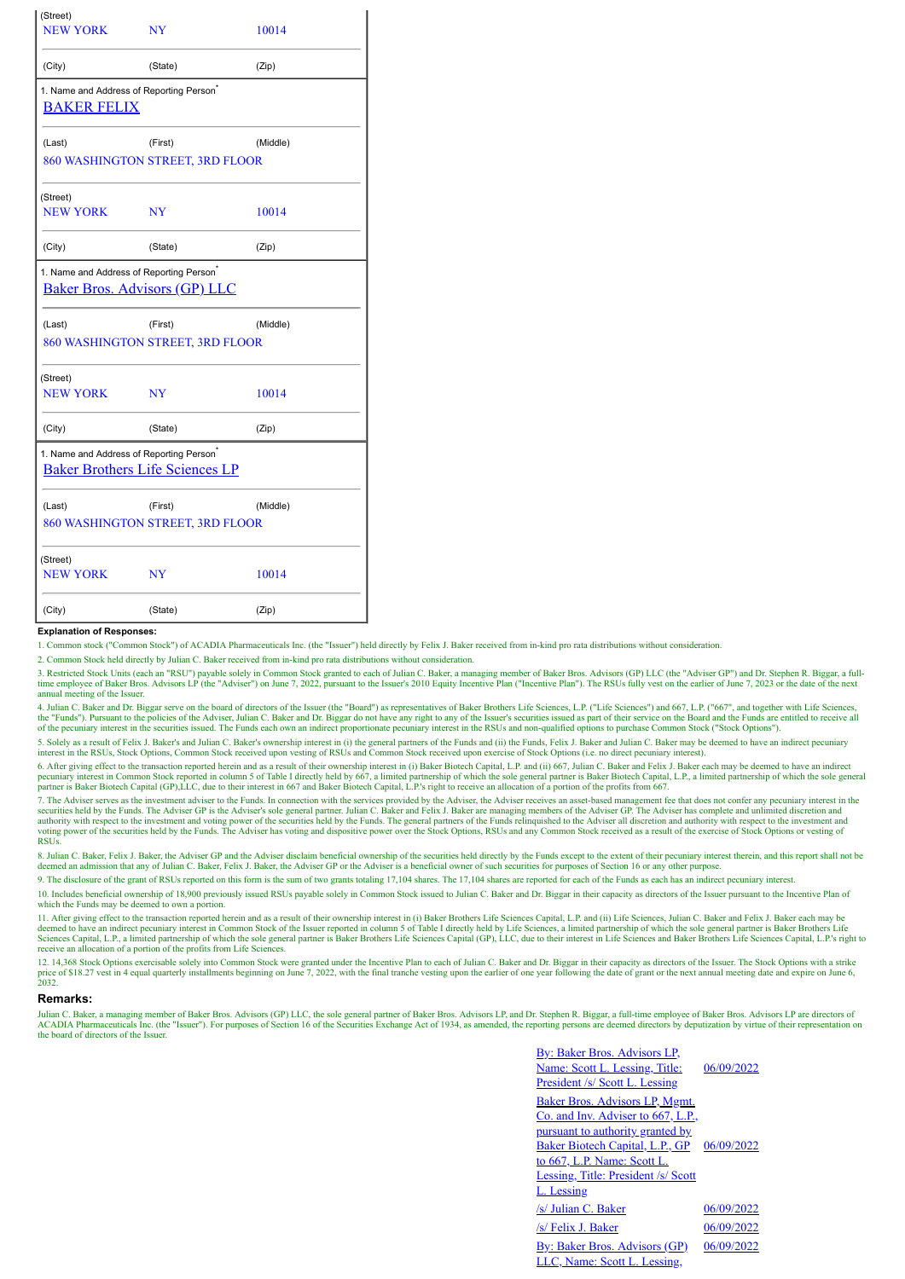| (Street)<br><b>NEW YORK</b>                                                                    | NY                                          | 10014    |
|------------------------------------------------------------------------------------------------|---------------------------------------------|----------|
| (City)                                                                                         | (State)                                     | (Zip)    |
| 1. Name and Address of Reporting Person <sup>®</sup><br><b>BAKER FELIX</b>                     |                                             |          |
| (Last)                                                                                         | (First)                                     | (Middle) |
|                                                                                                | 860 WASHINGTON STREET, 3RD FLOOR            |          |
| (Street)<br><b>NEW YORK</b>                                                                    | NY                                          | 10014    |
| (City)                                                                                         | (State)                                     | (Zip)    |
| 1. Name and Address of Reporting Person®<br><b>Baker Bros. Advisors (GP) LLC</b>               |                                             |          |
| (Last)                                                                                         |                                             |          |
|                                                                                                | (First)<br>860 WASHINGTON STREET, 3RD FLOOR | (Middle) |
| (Street)<br><b>NEW YORK</b>                                                                    | <b>NY</b>                                   | 10014    |
| (City)                                                                                         | (State)                                     | (Zip)    |
| 1. Name and Address of Reporting Person <sup>®</sup><br><b>Baker Brothers Life Sciences LP</b> |                                             |          |
| (Last)                                                                                         | (First)<br>860 WASHINGTON STREET, 3RD FLOOR | (Middle) |
| (Street)<br><b>NEW YORK</b>                                                                    | NY                                          | 10014    |

## **Explanation of Responses:**

1. Common stock ("Common Stock") of ACADIA Pharmaceuticals Inc. (the "Issuer") held directly by Felix J. Baker received from in-kind pro rata distributions without consideration.

2. Common Stock held directly by Julian C. Baker received from in-kind pro rata distributions without consideration.

3. Restricted Stock Units (each an "RSU") payable solely in Common Stock granted to each of Julian C. Baker, a managing member of Baker Bros. Advisors (GP) LLC (the "Adviser GP") and Dr. Stephen R. Biggar, a fulltime employee of Baker Bros. Advisors LP (the "Adviser") on June 7, 2022, pursuant to the Issuer's 2010 Equity Incentive Plan ("Incentive Plan"). The RSUs fully vest on the earlier of June 7, 2023 or the date of the next annual meeting of the Issuer.

4. Julian C. Baker and Dr. Biggar serve on the board of directors of the Issuer (the "Board") as representatives of Baker Brothers Life Sciences, L.P. ("Life Sciences") and 667, L.P. ("667", and together with Life Sciences the "Funds"). Pursuant to the policies of the Adviser, Julian C. Baker and Dr. Biggar do not have any right to any of the Issuer's securities issued as part of their service on the Board and the Funds are entitled to recei

5. Solely as a result of Felix J. Baker's and Julian C. Baker's ownership interest in (i) the general partners of the Funds and (ii) the Funds, Felix J. Baker and Julian C. Baker may be deemed to have an indirect pecuniary

6. After giving effect to the transaction reported herein and as a result of their ownership interest in (i) Baker Biotech Capital, L.P. and (ii) 667, Julian C. Baker and Felix J. Baker each may be deemed to have an indirect pecuniary interest in Common Stock reported in column 5 of Table I directly held by 667, a limited partnership of which the sole general partner is Baker Biotech Capital, L.P., a limited partnership of which the sole gener

7. The Adviser serves as the investment adviser to the Funds. In connection with the services provided by the Adviser, the Adviser receives an asset-based management fee that does not confer any pecuniary interest in the s **RSUs** 

8. Julian C. Baker, Felix J. Baker, the Adviser GP and the Adviser disclaim beneficial ownership of the securities held directly by the Funds except to the extent of their pecuniary interest therein, and this report shall

9. The disclosure of the grant of RSUs reported on this form is the sum of two grants totaling 17,104 shares. The 17,104 shares are reported for each of the Funds as each has an indirect pecuniary interest.

10. Includes beneficial ownership of 18,900 previously issued RSUs payable solely in Common Stock issued to Julian C. Baker and Dr. Biggar in their capacity as directors of the Issuer pursuant to the Incentive Plan of which the Funds may be deemed to own a portion.

11. After giving effect to the transaction reported herein and as a result of their ownership interest in (i) Baker Brothers Life Sciences Capital, L.P. and (ii) Life Sciences, Julian C. Baker and Felix J. Baker each may be deemed to have an indirect pecuniary interest in Common Stock of the Issuer reported in column 5 of Table I directly held by Life Sciences, a limited partnership of which the sole general partner is Baker Brothers Life Sci receive an allocation of a portion of the profits from Life Sciences.

12. 14,368 Stock Options exercisable solely into Common Stock were granted under the Incentive Plan to each of Julian C. Baker and Dr. Biggar in their capacity as directors of the Issuer. The Stock Options with a strike an  $2032$ 

## **Remarks:**

Julian C. Baker, a managing member of Baker Bros. Advisors (GP) LLC, the sole general partner of Baker Bros. Advisors LP, and Dr. Stephen R. Biggar, a full-time employee of Baker Bros. Advisors LP are directors of ACADIA Pharmaceuticals Inc. (the "Issuer"). For purposes of Section 16 of the Securities Exchange Act of 1934, as amended, the reporting persons are deemed directors by deputization by virtue of their representation on the board of directors of the Issuer.

| By: Baker Bros. Advisors LP,        |            |
|-------------------------------------|------------|
| Name: Scott L. Lessing, Title:      | 06/09/2022 |
| President /s/ Scott L. Lessing      |            |
| Baker Bros. Advisors LP, Mgmt.      |            |
| Co. and Inv. Adviser to 667, L.P.,  |            |
| pursuant to authority granted by    |            |
| Baker Biotech Capital, L.P., GP     | 06/09/2022 |
| to 667, L.P. Name: Scott L.         |            |
| Lessing, Title: President /s/ Scott |            |
| L. Lessing                          |            |
| /s/ Julian C. Baker                 | 06/09/2022 |
| /s/ Felix J. Baker                  | 06/09/2022 |
| By: Baker Bros. Advisors (GP)       | 06/09/2022 |
| LLC. Name: Scott L. Lessing         |            |